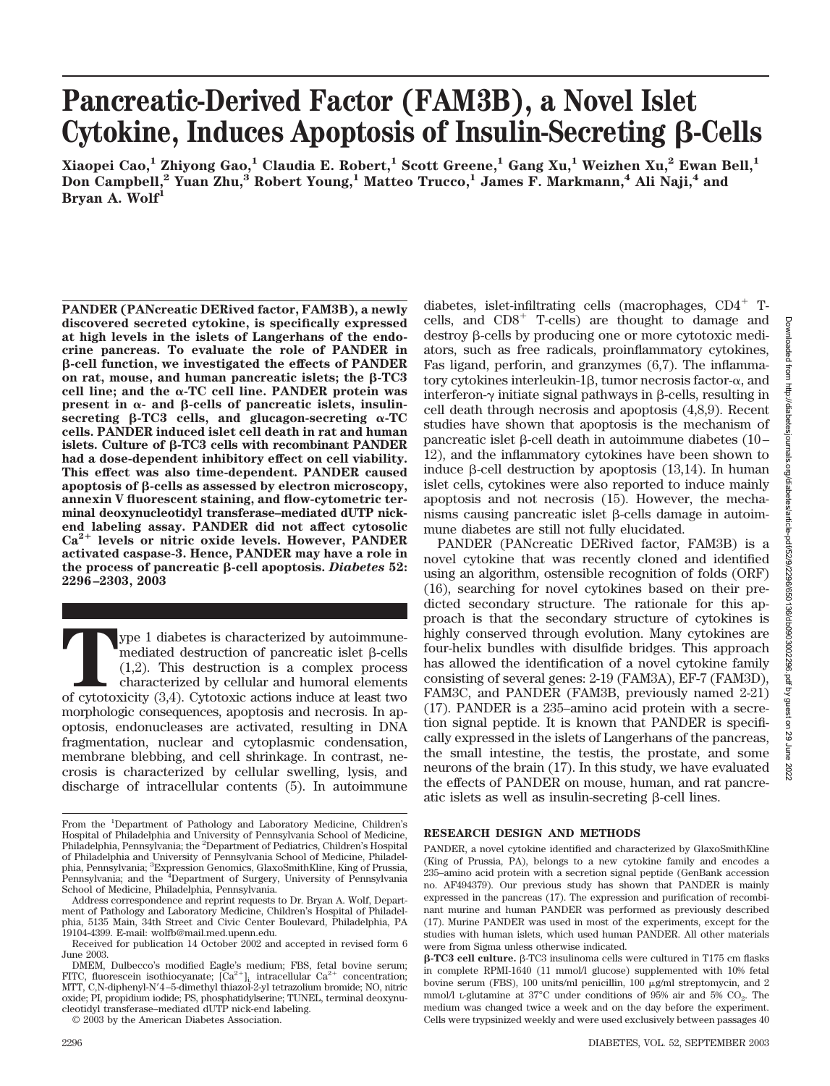# **Pancreatic-Derived Factor (FAM3B), a Novel Islet** Cytokine, Induces Apoptosis of Insulin-Secreting  $\beta$ -Cells

**Xiaopei Cao,1 Zhiyong Gao,1 Claudia E. Robert,1 Scott Greene,1 Gang Xu,1 Weizhen Xu,2 Ewan Bell,1 Don Campbell,2 Yuan Zhu,3 Robert Young,1 Matteo Trucco,1 James F. Markmann,4 Ali Naji,4 and Bryan A. Wolf1**

**PANDER (PANcreatic DERived factor, FAM3B), a newly discovered secreted cytokine, is specifically expressed at high levels in the islets of Langerhans of the endocrine pancreas. To evaluate the role of PANDER in -cell function, we investigated the effects of PANDER** on rat, mouse, and human pancreatic islets; the  $\beta$ -TC3 cell line; and the  $\alpha$ -TC cell line. PANDER protein was  $present$  in  $\alpha$ - and  $\beta$ -cells of pancreatic islets, insulin**secreting** β-TC3 cells, and glucagon-secreting α-TC **cells. PANDER induced islet cell death in rat and human** islets. Culture of  $\beta$ -TC3 cells with recombinant PANDER **had a dose-dependent inhibitory effect on cell viability. This effect was also time-dependent. PANDER caused apoptosis of -cells as assessed by electron microscopy, annexin V fluorescent staining, and flow-cytometric terminal deoxynucleotidyl transferase–mediated dUTP nickend labeling assay. PANDER did not affect cytosolic Ca2 levels or nitric oxide levels. However, PANDER activated caspase-3. Hence, PANDER may have a role in the process of pancreatic -cell apoptosis.** *Diabetes* **52: 2296–2303, 2003**

**The 1** diabetes is characterized by autoimmune-<br>mediated destruction of pancreatic islet  $\beta$ -cells<br>(1,2). This destruction is a complex process<br>characterized by cellular and humoral elements<br>of cytotoxicity (3,4). Cytot mediated destruction of pancreatic islet  $\beta$ -cells (1,2). This destruction is a complex process characterized by cellular and humoral elements morphologic consequences, apoptosis and necrosis. In apoptosis, endonucleases are activated, resulting in DNA fragmentation, nuclear and cytoplasmic condensation, membrane blebbing, and cell shrinkage. In contrast, necrosis is characterized by cellular swelling, lysis, and discharge of intracellular contents (5). In autoimmune

diabetes, islet-infiltrating cells (macrophages, CD4<sup>+</sup> Tcells, and CD8- T-cells) are thought to damage and  $\text{destroy } \beta\text{-cells}$  by producing one or more cytotoxic mediators, such as free radicals, proinflammatory cytokines, Fas ligand, perforin, and granzymes (6,7). The inflammatory cytokines interleukin-1 $\beta$ , tumor necrosis factor- $\alpha$ , and interferon- $\nu$  initiate signal pathways in B-cells, resulting in cell death through necrosis and apoptosis (4,8,9). Recent studies have shown that apoptosis is the mechanism of pancreatic islet  $\beta$ -cell death in autoimmune diabetes (10– 12), and the inflammatory cytokines have been shown to induce  $\beta$ -cell destruction by apoptosis (13,14). In human islet cells, cytokines were also reported to induce mainly apoptosis and not necrosis (15). However, the mechanisms causing pancreatic islet  $\beta$ -cells damage in autoimmune diabetes are still not fully elucidated.

PANDER (PANcreatic DERived factor, FAM3B) is a novel cytokine that was recently cloned and identified using an algorithm, ostensible recognition of folds (ORF) (16), searching for novel cytokines based on their predicted secondary structure. The rationale for this approach is that the secondary structure of cytokines is highly conserved through evolution. Many cytokines are four-helix bundles with disulfide bridges. This approach has allowed the identification of a novel cytokine family consisting of several genes: 2-19 (FAM3A), EF-7 (FAM3D), FAM3C, and PANDER (FAM3B, previously named 2-21) (17). PANDER is a 235–amino acid protein with a secretion signal peptide. It is known that PANDER is specifically expressed in the islets of Langerhans of the pancreas, the small intestine, the testis, the prostate, and some neurons of the brain (17). In this study, we have evaluated the effects of PANDER on mouse, human, and rat pancreatic islets as well as insulin-secreting  $\beta$ -cell lines.

## **RESEARCH DESIGN AND METHODS**

PANDER, a novel cytokine identified and characterized by GlaxoSmithKline (King of Prussia, PA), belongs to a new cytokine family and encodes a 235–amino acid protein with a secretion signal peptide (GenBank accession no. AF494379). Our previous study has shown that PANDER is mainly expressed in the pancreas (17). The expression and purification of recombinant murine and human PANDER was performed as previously described (17). Murine PANDER was used in most of the experiments, except for the studies with human islets, which used human PANDER. All other materials were from Sigma unless otherwise indicated.

From the <sup>1</sup>Department of Pathology and Laboratory Medicine, Children's Hospital of Philadelphia and University of Pennsylvania School of Medicine, Philadelphia, Pennsylvania; the <sup>2</sup>Department of Pediatrics, Children's Hospital of Philadelphia and University of Pennsylvania School of Medicine, Philadelphia, Pennsylvania; <sup>3</sup> Expression Genomics, GlaxoSmithKline, King of Prussia, Pennsylvania; and the <sup>4</sup>Department of Surgery, University of Pennsylvania School of Medicine, Philadelphia, Pennsylvania.

Address correspondence and reprint requests to Dr. Bryan A. Wolf, Department of Pathology and Laboratory Medicine, Children's Hospital of Philadelphia, 5135 Main, 34th Street and Civic Center Boulevard, Philadelphia, PA 19104-4399. E-mail: wolfb@mail.med.upenn.edu.

Received for publication 14 October 2002 and accepted in revised form 6 June 2003.

DMEM, Dulbecco's modified Eagle's medium; FBS, fetal bovine serum; FITC, fluorescein isothiocyanate;  $[Ca^{2+}]_{i}$  intracellular  $Ca^{2+}$  concentration; MTT, C,N-diphenyl-N4–5-dimethyl thiazol-2-yl tetrazolium bromide; NO, nitric oxide; PI, propidium iodide; PS, phosphatidylserine; TUNEL, terminal deoxynucleotidyl transferase–mediated dUTP nick-end labeling.

<sup>© 2003</sup> by the American Diabetes Association.

 $\beta$ -TC3 cell culture.  $\beta$ -TC3 insulinoma cells were cultured in T175 cm flasks in complete RPMI-1640 (11 mmol/l glucose) supplemented with 10% fetal bovine serum (FBS), 100 units/ml penicillin, 100  $\mu$ g/ml streptomycin, and 2 mmol/l L-glutamine at  $37^{\circ}$ C under conditions of  $95\%$  air and  $5\%$  CO<sub>2</sub>. The medium was changed twice a week and on the day before the experiment. Cells were trypsinized weekly and were used exclusively between passages 40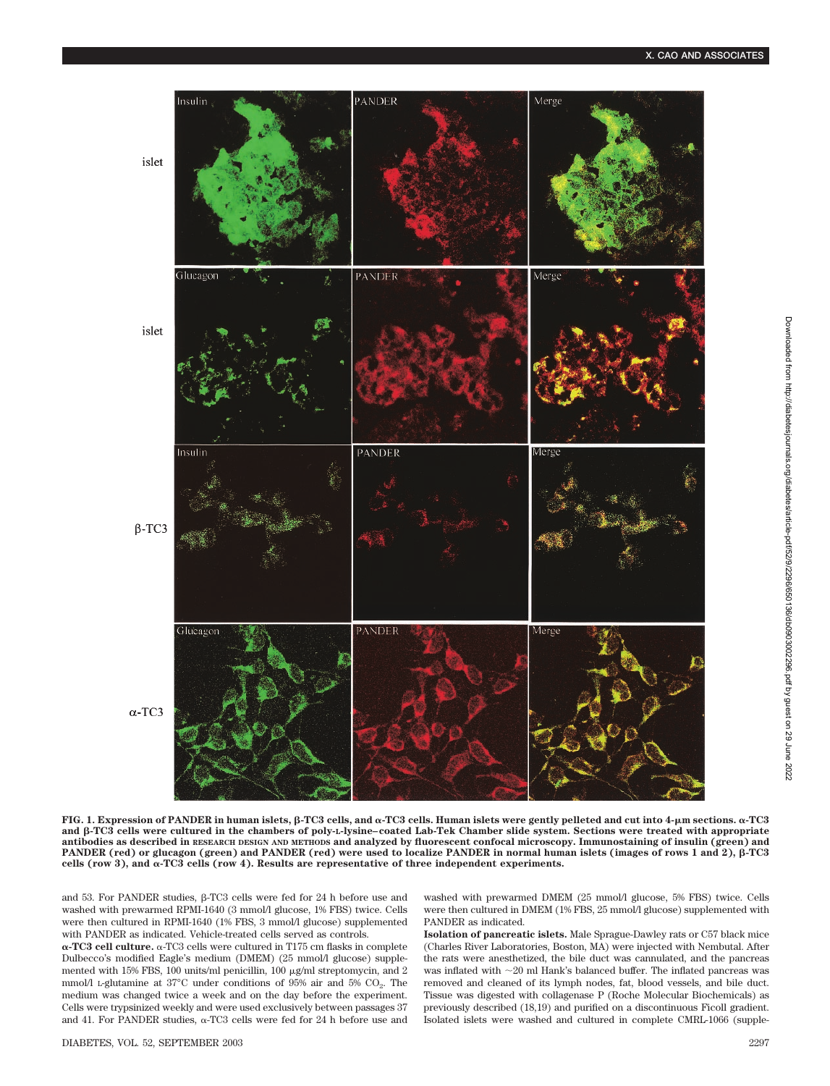

**FIG. 1. Expression of PANDER in human islets, β-TC3 cells, and α-TC3 cells. Human islets were gently pelleted and cut into 4-µm sections. α-TC3** and  $\beta$ -TC3 cells were cultured in the chambers of poly-L-lysine–coated Lab-Tek Chamber slide system. Sections were treated with appropriate **antibodies as described in RESEARCH DESIGN AND METHODS and analyzed by fluorescent confocal microscopy. Immunostaining of insulin (green) and PANDER** (red) or glucagon (green) and PANDER (red) were used to localize PANDER in normal human islets (images of rows 1 and 2),  $\beta$ -TC3 cells (row 3), and  $\alpha$ -TC3 cells (row 4). Results are representative of three independent experiments.

and 53. For PANDER studies,  $\beta$ -TC3 cells were fed for 24 h before use and washed with prewarmed RPMI-1640 (3 mmol/l glucose, 1% FBS) twice. Cells were then cultured in RPMI-1640 (1% FBS, 3 mmol/l glucose) supplemented with PANDER as indicated. Vehicle-treated cells served as controls.

α-TC3 cell culture. α-TC3 cells were cultured in T175 cm flasks in complete Dulbecco's modified Eagle's medium (DMEM) (25 mmol/l glucose) supplemented with 15% FBS, 100 units/ml penicillin, 100  $\mu$ g/ml streptomycin, and 2 mmol/l L-glutamine at  $37^{\circ}$ C under conditions of 95% air and 5% CO<sub>2</sub>. The medium was changed twice a week and on the day before the experiment. Cells were trypsinized weekly and were used exclusively between passages 37 and 41. For PANDER studies,  $\alpha$ -TC3 cells were fed for 24 h before use and washed with prewarmed DMEM (25 mmol/l glucose, 5% FBS) twice. Cells were then cultured in DMEM (1% FBS, 25 mmol/l glucose) supplemented with PANDER as indicated.

**Isolation of pancreatic islets.** Male Sprague-Dawley rats or C57 black mice (Charles River Laboratories, Boston, MA) were injected with Nembutal. After the rats were anesthetized, the bile duct was cannulated, and the pancreas was inflated with  ${\sim}20$  ml Hank's balanced buffer. The inflated pancreas was removed and cleaned of its lymph nodes, fat, blood vessels, and bile duct. Tissue was digested with collagenase P (Roche Molecular Biochemicals) as previously described (18,19) and purified on a discontinuous Ficoll gradient. Isolated islets were washed and cultured in complete CMRL-1066 (supple-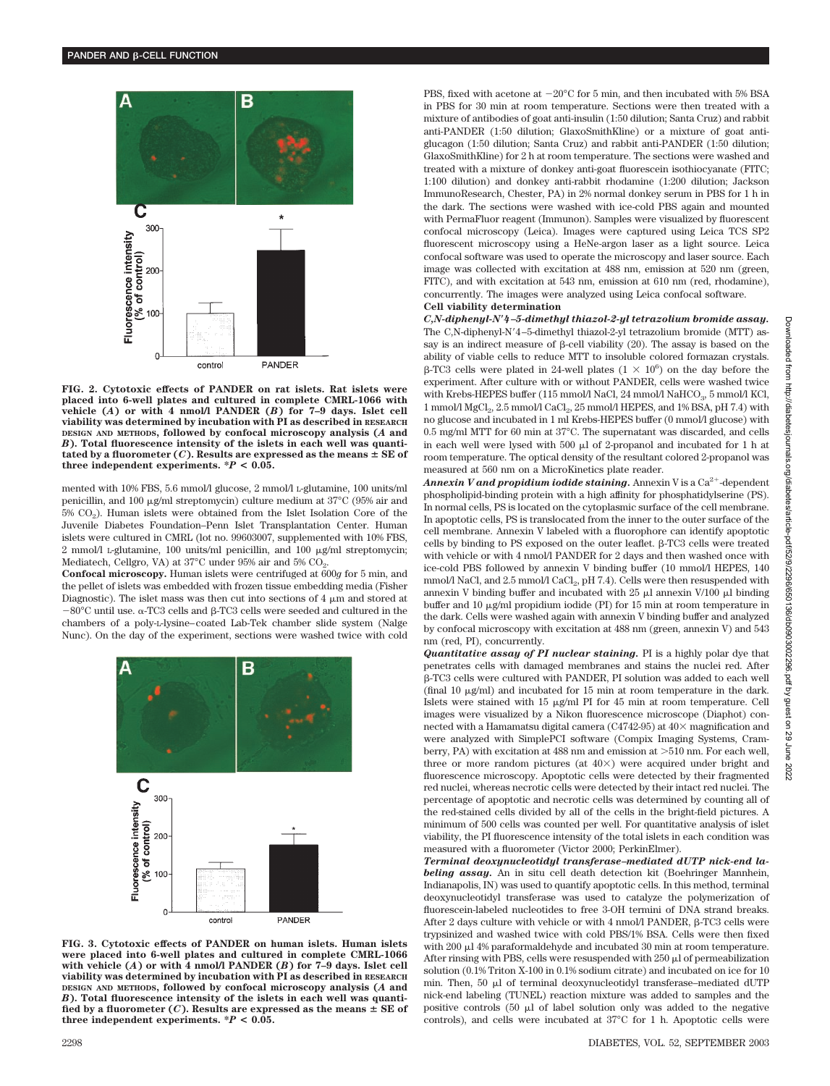

**FIG. 2. Cytotoxic effects of PANDER on rat islets. Rat islets were placed into 6-well plates and cultured in complete CMRL-1066 with vehicle (***A***) or with 4 nmol/l PANDER (***B***) for 7–9 days. Islet cell viability was determined by incubation with PI as described in RESEARCH DESIGN AND METHODS, followed by confocal microscopy analysis (***A* **and** *B***). Total fluorescence intensity of the islets in each well was quanti**tated by a fluorometer  $(C)$ . Results are expressed as the means  $\pm$  SE of **three independent experiments.**  $^*P$  **< 0.05.** 

mented with 10% FBS, 5.6 mmol/l glucose, 2 mmol/l L-glutamine, 100 units/ml penicillin, and 100  $\mu$ g/ml streptomycin) culture medium at 37°C (95% air and  $5\%$  CO<sub>2</sub>). Human islets were obtained from the Islet Isolation Core of the Juvenile Diabetes Foundation–Penn Islet Transplantation Center. Human islets were cultured in CMRL (lot no. 99603007, supplemented with 10% FBS,  $2$  mmol/l L-glutamine, 100 units/ml penicillin, and 100  $\mu$ g/ml streptomycin; Mediatech, Cellgro, VA) at 37°C under 95% air and 5% CO<sub>2</sub>.

**Confocal microscopy.** Human islets were centrifuged at 600*g* for 5 min, and the pellet of islets was embedded with frozen tissue embedding media (Fisher Diagnostic). The islet mass was then cut into sections of 4  $\mu$ m and stored at  $-80^{\circ}$ C until use.  $\alpha$ -TC3 cells and  $\beta$ -TC3 cells were seeded and cultured in the chambers of a poly-L-lysine–coated Lab-Tek chamber slide system (Nalge Nunc). On the day of the experiment, sections were washed twice with cold



**FIG. 3. Cytotoxic effects of PANDER on human islets. Human islets were placed into 6-well plates and cultured in complete CMRL-1066 with vehicle (***A***) or with 4 nmol/l PANDER (***B***) for 7–9 days. Islet cell viability was determined by incubation with PI as described in RESEARCH DESIGN AND METHODS, followed by confocal microscopy analysis (***A* **and** *B***). Total fluorescence intensity of the islets in each well was quanti**fied by a fluorometer  $(C)$ . Results are expressed as the means  $\pm$  SE of **three independent experiments. \****P* **< 0.05.**

PBS, fixed with acetone at  $-20^{\circ}$ C for 5 min, and then incubated with 5% BSA in PBS for 30 min at room temperature. Sections were then treated with a mixture of antibodies of goat anti-insulin (1:50 dilution; Santa Cruz) and rabbit anti-PANDER (1:50 dilution; GlaxoSmithKline) or a mixture of goat antiglucagon (1:50 dilution; Santa Cruz) and rabbit anti-PANDER (1:50 dilution; GlaxoSmithKline) for 2 h at room temperature. The sections were washed and treated with a mixture of donkey anti-goat fluorescein isothiocyanate (FITC; 1:100 dilution) and donkey anti-rabbit rhodamine (1:200 dilution; Jackson ImmunoResearch, Chester, PA) in 2% normal donkey serum in PBS for 1 h in the dark. The sections were washed with ice-cold PBS again and mounted with PermaFluor reagent (Immunon). Samples were visualized by fluorescent confocal microscopy (Leica). Images were captured using Leica TCS SP2 fluorescent microscopy using a HeNe-argon laser as a light source. Leica confocal software was used to operate the microscopy and laser source. Each image was collected with excitation at 488 nm, emission at 520 nm (green, FITC), and with excitation at 543 nm, emission at 610 nm (red, rhodamine), concurrently. The images were analyzed using Leica confocal software.

## **Cell viability determination**

*C,N-diphenyl-N4–5-dimethyl thiazol-2-yl tetrazolium bromide assay.* The C,N-diphenyl-N4–5-dimethyl thiazol-2-yl tetrazolium bromide (MTT) assay is an indirect measure of  $\beta$ -cell viability (20). The assay is based on the ability of viable cells to reduce MTT to insoluble colored formazan crystals.  $\beta$ -TC3 cells were plated in 24-well plates  $(1 \times 10^6)$  on the day before the experiment. After culture with or without PANDER, cells were washed twice with Krebs-HEPES buffer (115 mmol/l NaCl, 24 mmol/l NaHCO<sub>3</sub>, 5 mmol/l KCl, 1 mmol/l MgCl<sub>2</sub>, 2.5 mmol/l CaCl<sub>2</sub>, 25 mmol/l HEPES, and 1% BSA, pH 7.4) with no glucose and incubated in 1 ml Krebs-HEPES buffer (0 mmol/l glucose) with 0.5 mg/ml MTT for 60 min at 37°C. The supernatant was discarded, and cells in each well were lysed with 500  $\mu$ l of 2-propanol and incubated for 1 h at room temperature. The optical density of the resultant colored 2-propanol was measured at 560 nm on a MicroKinetics plate reader.

 $\bm{An}$  pexin  $\bm{V}$  and propidium iodide staining. Annexin V is a Ca $^{2+}$ -dependent phospholipid-binding protein with a high affinity for phosphatidylserine (PS). In normal cells, PS is located on the cytoplasmic surface of the cell membrane. In apoptotic cells, PS is translocated from the inner to the outer surface of the cell membrane. Annexin V labeled with a fluorophore can identify apoptotic cells by binding to PS exposed on the outer leaflet.  $\beta$ -TC3 cells were treated with vehicle or with 4 nmol/l PANDER for 2 days and then washed once with ice-cold PBS followed by annexin V binding buffer (10 mmol/l HEPES, 140 mmol/l NaCl, and  $2.5$  mmol/l CaCl<sub>2</sub>, pH 7.4). Cells were then resuspended with annexin V binding buffer and incubated with  $25 \mu l$  annexin V/100  $\mu l$  binding buffer and 10  $\mu$ g/ml propidium iodide (PI) for 15 min at room temperature in the dark. Cells were washed again with annexin V binding buffer and analyzed by confocal microscopy with excitation at 488 nm (green, annexin V) and 543 nm (red, PI), concurrently.

*Quantitative assay of PI nuclear staining.* PI is a highly polar dye that penetrates cells with damaged membranes and stains the nuclei red. After -TC3 cells were cultured with PANDER, PI solution was added to each well (final 10  $\mu$ g/ml) and incubated for 15 min at room temperature in the dark. Islets were stained with  $15 \mu g/ml$  PI for  $45 \mu m$  at room temperature. Cell images were visualized by a Nikon fluorescence microscope (Diaphot) connected with a Hamamatsu digital camera (C4742-95) at  $40\times$  magnification and were analyzed with SimplePCI software (Compix Imaging Systems, Cramberry, PA) with excitation at 488 nm and emission at 510 nm. For each well, three or more random pictures (at  $40\times$ ) were acquired under bright and fluorescence microscopy. Apoptotic cells were detected by their fragmented red nuclei, whereas necrotic cells were detected by their intact red nuclei. The percentage of apoptotic and necrotic cells was determined by counting all of the red-stained cells divided by all of the cells in the bright-field pictures. A minimum of 500 cells was counted per well. For quantitative analysis of islet viability, the PI fluorescence intensity of the total islets in each condition was measured with a fluorometer (Victor 2000; PerkinElmer).

*Terminal deoxynucleotidyl transferase–mediated dUTP nick-end labeling assay.* An in situ cell death detection kit (Boehringer Mannhein, Indianapolis, IN) was used to quantify apoptotic cells. In this method, terminal deoxynucleotidyl transferase was used to catalyze the polymerization of fluorescein-labeled nucleotides to free 3-OH termini of DNA strand breaks. After 2 days culture with vehicle or with 4 nmol/l PANDER,  $\beta$ -TC3 cells were trypsinized and washed twice with cold PBS/1% BSA. Cells were then fixed with 200  $\mu$ l 4% paraformaldehyde and incubated 30 min at room temperature. After rinsing with PBS, cells were resuspended with  $250 \mu$  of permeabilization solution (0.1% Triton X-100 in 0.1% sodium citrate) and incubated on ice for 10 min. Then, 50 ul of terminal deoxynucleotidyl transferase–mediated dUTP nick-end labeling (TUNEL) reaction mixture was added to samples and the positive controls  $(50 \text{ µ})$  of label solution only was added to the negative controls), and cells were incubated at 37°C for 1 h. Apoptotic cells were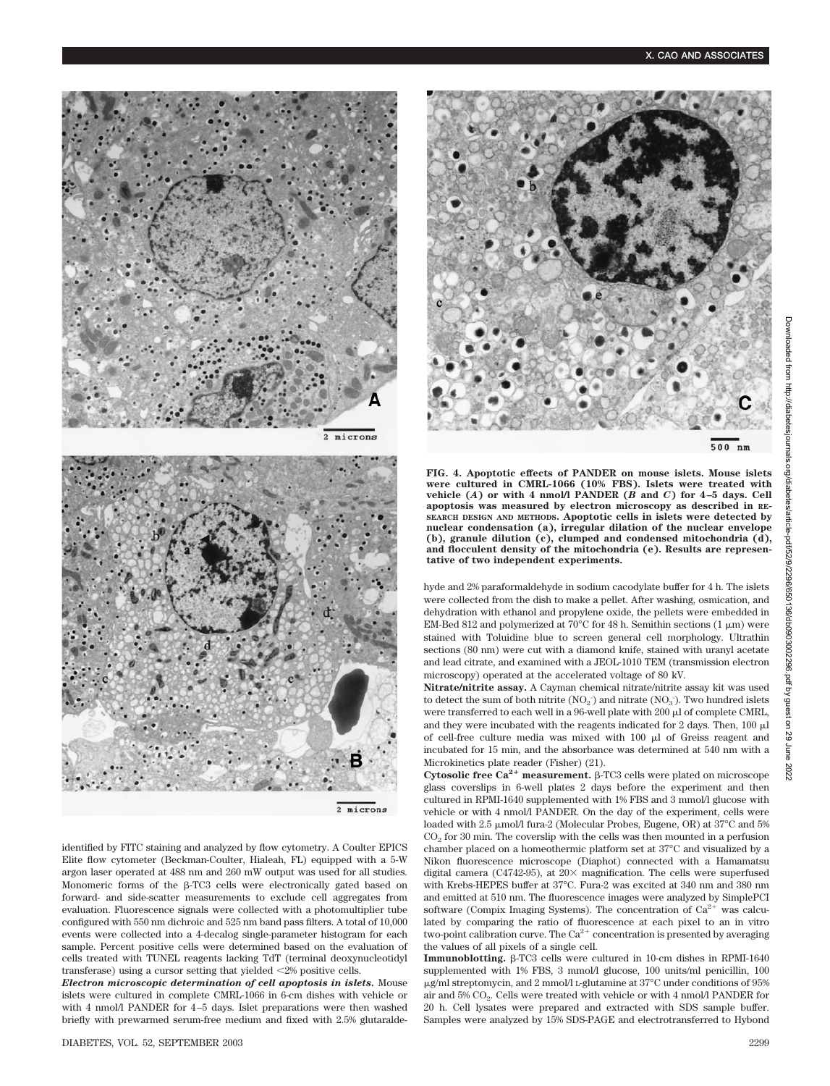

**FIG. 4. Apoptotic effects of PANDER on mouse islets. Mouse islets were cultured in CMRL-1066 (10% FBS). Islets were treated with vehicle** (*A*) or with 4 nmol/l PANDER ( $\overrightarrow{B}$  and  $C$ ) for 4–5 days. Cell **apoptosis was measured by electron microscopy as described in RE-SEARCH DESIGN AND METHODS. Apoptotic cells in islets were detected by nuclear condensation (a), irregular dilation of the nuclear envelope (b), granule dilution (c), clumped and condensed mitochondria (d), and flocculent density of the mitochondria (e). Results are representative of two independent experiments.**

hyde and 2% paraformaldehyde in sodium cacodylate buffer for 4 h. The islets were collected from the dish to make a pellet. After washing, osmication, and dehydration with ethanol and propylene oxide, the pellets were embedded in EM-Bed 812 and polymerized at 70 $^{\circ}$ C for 48 h. Semithin sections (1  $\mu$ m) were stained with Toluidine blue to screen general cell morphology. Ultrathin sections (80 nm) were cut with a diamond knife, stained with uranyl acetate and lead citrate, and examined with a JEOL-1010 TEM (transmission electron microscopy) operated at the accelerated voltage of 80 kV.

**Nitrate/nitrite assay.** A Cayman chemical nitrate/nitrite assay kit was used to detect the sum of both nitrite  $(NO<sub>2</sub>)$  and nitrate  $(NO<sub>3</sub>)$ . Two hundred islets were transferred to each well in a 96-well plate with 200  $\mu$ l of complete CMRL, and they were incubated with the reagents indicated for 2 days. Then,  $100 \mu l$ of cell-free culture media was mixed with  $100 \mu l$  of Greiss reagent and incubated for 15 min, and the absorbance was determined at 540 nm with a Microkinetics plate reader (Fisher) (21).

Cytosolic free  $Ca^{2+}$  measurement.  $\beta$ -TC3 cells were plated on microscope glass coverslips in 6-well plates 2 days before the experiment and then cultured in RPMI-1640 supplemented with 1% FBS and 3 mmol/l glucose with vehicle or with 4 nmol/l PANDER. On the day of the experiment, cells were loaded with 2.5  $\mu$ mol/l fura-2 (Molecular Probes, Eugene, OR) at 37°C and 5%  $CO<sub>2</sub>$  for 30 min. The coverslip with the cells was then mounted in a perfusion chamber placed on a homeothermic platform set at 37°C and visualized by a Nikon fluorescence microscope (Diaphot) connected with a Hamamatsu digital camera (C4742-95), at  $20\times$  magnification. The cells were superfused with Krebs-HEPES buffer at 37°C. Fura-2 was excited at 340 nm and 380 nm and emitted at 510 nm. The fluorescence images were analyzed by SimplePCI software (Compix Imaging Systems). The concentration of  $Ca^{2+}$  was calculated by comparing the ratio of fluorescence at each pixel to an in vitro two-point calibration curve. The  $Ca^{2+}$  concentration is presented by averaging the values of all pixels of a single cell.

**Immunoblotting.**  $\beta$ -TC3 cells were cultured in 10-cm dishes in RPMI-1640 supplemented with 1% FBS, 3 mmol/l glucose, 100 units/ml penicillin, 100 g/ml streptomycin, and 2 mmol/l L-glutamine at 37°C under conditions of 95% air and 5% CO<sub>2</sub>. Cells were treated with vehicle or with 4 nmol/l PANDER for 20 h. Cell lysates were prepared and extracted with SDS sample buffer. Samples were analyzed by 15% SDS-PAGE and electrotransferred to Hybond



2 microns

identified by FITC staining and analyzed by flow cytometry. A Coulter EPICS Elite flow cytometer (Beckman-Coulter, Hialeah, FL) equipped with a 5-W argon laser operated at 488 nm and 260 mW output was used for all studies. Monomeric forms of the  $\beta$ -TC3 cells were electronically gated based on forward- and side-scatter measurements to exclude cell aggregates from evaluation. Fluorescence signals were collected with a photomultiplier tube configured with 550 nm dichroic and 525 nm band pass filters. A total of 10,000 events were collected into a 4-decalog single-parameter histogram for each sample. Percent positive cells were determined based on the evaluation of cells treated with TUNEL reagents lacking TdT (terminal deoxynucleotidyl transferase) using a cursor setting that yielded 2% positive cells.

*Electron microscopic determination of cell apoptosis in islets.* Mouse islets were cultured in complete CMRL-1066 in 6-cm dishes with vehicle or with 4 nmol/l PANDER for 4–5 days. Islet preparations were then washed briefly with prewarmed serum-free medium and fixed with 2.5% glutaraldeJune 2022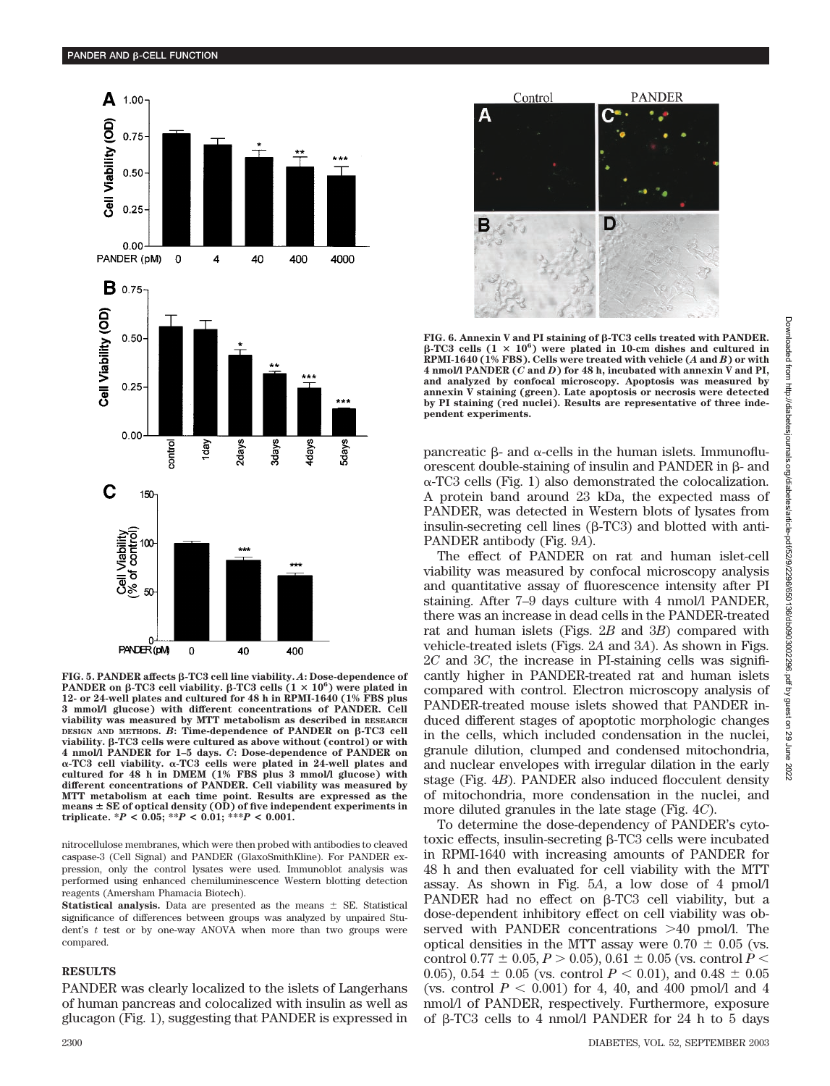

 $FIG. 5. PANDER affects  $\beta$ -TC3 cell line viability. *A*: Does-dependence of$ PANDER on  $\beta$ -TC3 cell viability.  $\beta$ -TC3 cells  $(1 \times 10^6)$  were plated in **12- or 24-well plates and cultured for 48 h in RPMI-1640 (1% FBS plus 3 mmol/l glucose) with different concentrations of PANDER. Cell viability was measured by MTT metabolism as described in RESEARCH DESIGN AND METHODS. B: Time-dependence of PANDER on β-TC3 cell viability. -TC3 cells were cultured as above without (control) or with 4 nmol/l PANDER for 1–5 days.** *C***: Dose-dependence of PANDER on** α-TC3 cell viability. α-TC3 cells were plated in 24-well plates and **cultured for 48 h in DMEM (1% FBS plus 3 mmol/l glucose) with different concentrations of PANDER. Cell viability was measured by MTT metabolism at each time point. Results are expressed as the means SE of optical density (OD) of five independent experiments in triplicate. \****P* **< 0.05; \*\****P* **< 0.01; \*\*\****P* **< 0.001.**

nitrocellulose membranes, which were then probed with antibodies to cleaved caspase-3 (Cell Signal) and PANDER (GlaxoSmithKline). For PANDER expression, only the control lysates were used. Immunoblot analysis was performed using enhanced chemiluminescence Western blotting detection reagents (Amersham Phamacia Biotech).

**Statistical analysis.** Data are presented as the means  $\pm$  SE. Statistical significance of differences between groups was analyzed by unpaired Student's *t* test or by one-way ANOVA when more than two groups were compared.

## **RESULTS**

PANDER was clearly localized to the islets of Langerhans of human pancreas and colocalized with insulin as well as glucagon (Fig. 1), suggesting that PANDER is expressed in



FIG. 6. Annexin V and PI staining of β-TC3 cells treated with PANDER.  $\beta$ -TC3 cells (1  $\times$  10<sup>6</sup>) were plated in 10-cm dishes and cultured in **RPMI-1640 (1% FBS). Cells were treated with vehicle (***A* **and** *B***) or with 4 nmol/l PANDER (***C* **and** *D***) for 48 h, incubated with annexin V and PI, and analyzed by confocal microscopy. Apoptosis was measured by annexin V staining (green). Late apoptosis or necrosis were detected by PI staining (red nuclei). Results are representative of three independent experiments.**

pancreatic  $\beta$ - and  $\alpha$ -cells in the human islets. Immunofluorescent double-staining of insulin and PANDER in  $\beta$ - and  $\alpha$ -TC3 cells (Fig. 1) also demonstrated the colocalization. A protein band around 23 kDa, the expected mass of PANDER, was detected in Western blots of lysates from insulin-secreting cell lines  $(\beta$ -TC3) and blotted with anti-PANDER antibody (Fig. 9*A*).

The effect of PANDER on rat and human islet-cell viability was measured by confocal microscopy analysis and quantitative assay of fluorescence intensity after PI staining. After 7–9 days culture with 4 nmol/l PANDER, there was an increase in dead cells in the PANDER-treated rat and human islets (Figs. 2*B* and 3*B*) compared with vehicle-treated islets (Figs. 2*A* and 3*A*). As shown in Figs. 2*C* and 3*C*, the increase in PI-staining cells was significantly higher in PANDER-treated rat and human islets compared with control. Electron microscopy analysis of PANDER-treated mouse islets showed that PANDER induced different stages of apoptotic morphologic changes in the cells, which included condensation in the nuclei, granule dilution, clumped and condensed mitochondria, and nuclear envelopes with irregular dilation in the early stage (Fig. 4*B*). PANDER also induced flocculent density of mitochondria, more condensation in the nuclei, and more diluted granules in the late stage (Fig. 4*C*).

To determine the dose-dependency of PANDER's cytotoxic effects, insulin-secreting  $\beta$ -TC3 cells were incubated in RPMI-1640 with increasing amounts of PANDER for 48 h and then evaluated for cell viability with the MTT assay. As shown in Fig. 5*A*, a low dose of 4 pmol/l PANDER had no effect on  $\beta$ -TC3 cell viability, but a dose-dependent inhibitory effect on cell viability was observed with PANDER concentrations 40 pmol/l. The optical densities in the MTT assay were  $0.70 \pm 0.05$  (vs. control 0.77  $\pm$  0.05, *P*  $>$  0.05), 0.61  $\pm$  0.05 (vs. control *P*  $<$ 0.05), 0.54  $\pm$  0.05 (vs. control  $P < 0.01$ ), and 0.48  $\pm$  0.05 (vs. control  $P < 0.001$ ) for 4, 40, and 400 pmol/l and 4 nmol/l of PANDER, respectively. Furthermore, exposure of  $\beta$ -TC3 cells to 4 nmol/l PANDER for 24 h to 5 days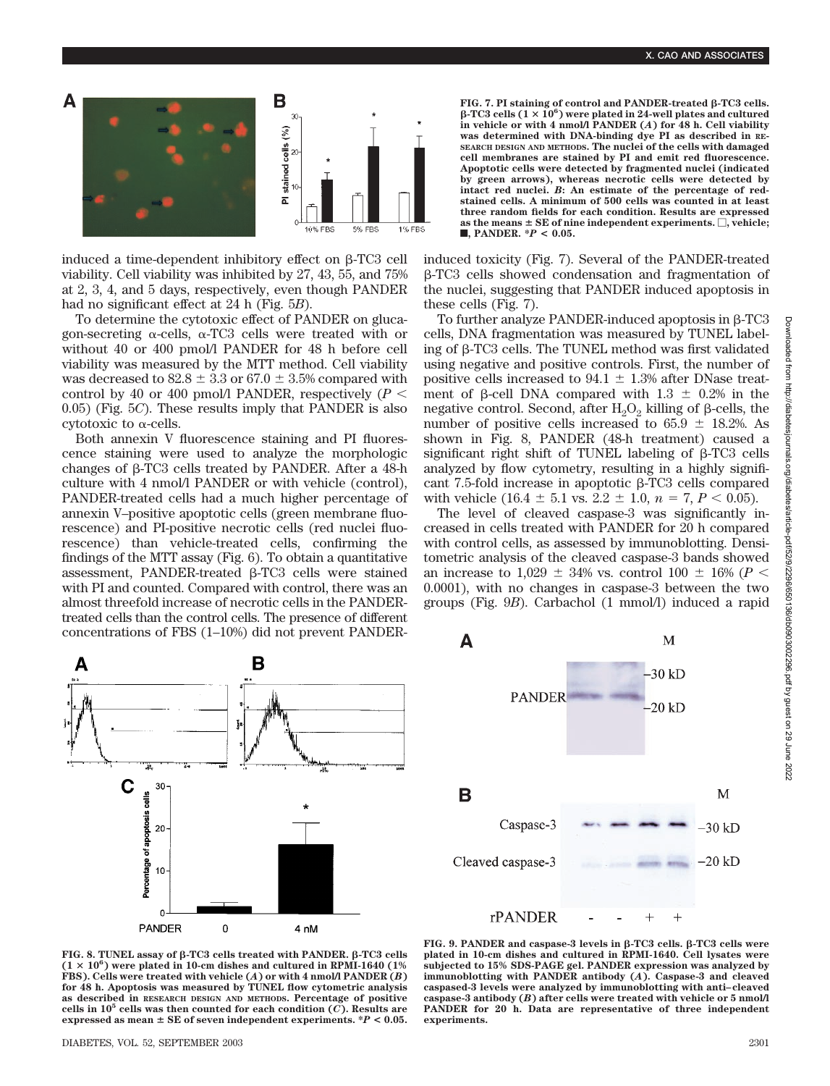

induced a time-dependent inhibitory effect on  $B-TC3$  cell viability. Cell viability was inhibited by 27, 43, 55, and 75% at 2, 3, 4, and 5 days, respectively, even though PANDER had no significant effect at 24 h (Fig. 5*B*).

To determine the cytotoxic effect of PANDER on glucagon-secreting  $\alpha$ -cells,  $\alpha$ -TC3 cells were treated with or without 40 or 400 pmol/l PANDER for 48 h before cell viability was measured by the MTT method. Cell viability was decreased to  $82.8 \pm 3.3$  or  $67.0 \pm 3.5$ % compared with control by 40 or 400 pmol/l PANDER, respectively  $(P \leq$ 0.05) (Fig. 5*C*). These results imply that PANDER is also cytotoxic to  $\alpha$ -cells.

Both annexin V fluorescence staining and PI fluorescence staining were used to analyze the morphologic changes of  $\beta$ -TC3 cells treated by PANDER. After a 48-h culture with 4 nmol/l PANDER or with vehicle (control), PANDER-treated cells had a much higher percentage of annexin V–positive apoptotic cells (green membrane fluorescence) and PI-positive necrotic cells (red nuclei fluorescence) than vehicle-treated cells, confirming the findings of the MTT assay (Fig. 6). To obtain a quantitative assessment, PANDER-treated  $\beta$ -TC3 cells were stained with PI and counted. Compared with control, there was an almost threefold increase of necrotic cells in the PANDERtreated cells than the control cells. The presence of different concentrations of FBS (1–10%) did not prevent PANDER-



FIG. 7. PI staining of control and PANDER-treated  $\beta$ -TC3 cells.  $\beta$ -TC3 cells ( $1 \times 10^6$ ) were plated in 24-well plates and cultured **in vehicle or with 4 nmol/l PANDER (***A***) for 48 h. Cell viability was determined with DNA-binding dye PI as described in RE-SEARCH DESIGN AND METHODS. The nuclei of the cells with damaged cell membranes are stained by PI and emit red fluorescence. Apoptotic cells were detected by fragmented nuclei (indicated by green arrows), whereas necrotic cells were detected by intact red nuclei.** *B***: An estimate of the percentage of redstained cells. A minimum of 500 cells was counted in at least three random fields for each condition. Results are expressed** as the means  $\pm$  SE of nine independent experiments.  $\Box,$  vehicle; f**, PANDER. \****P* **< 0.05.**

induced toxicity (Fig. 7). Several of the PANDER-treated -TC3 cells showed condensation and fragmentation of the nuclei, suggesting that PANDER induced apoptosis in these cells (Fig. 7).

To further analyze PANDER-induced apoptosis in  $\beta$ -TC3 cells, DNA fragmentation was measured by TUNEL labeling of  $\beta$ -TC3 cells. The TUNEL method was first validated using negative and positive controls. First, the number of positive cells increased to 94.1  $\pm$  1.3% after DNase treatment of  $\beta$ -cell DNA compared with 1.3  $\pm$  0.2% in the negative control. Second, after  $H_2O_2$  killing of  $\beta$ -cells, the number of positive cells increased to  $65.9 \pm 18.2$ %. As shown in Fig. 8, PANDER (48-h treatment) caused a significant right shift of TUNEL labeling of  $\beta$ -TC3 cells analyzed by flow cytometry, resulting in a highly significant 7.5-fold increase in apoptotic  $\beta$ -TC3 cells compared with vehicle  $(16.4 \pm 5.1 \text{ vs. } 2.2 \pm 1.0, n = 7, P < 0.05)$ .

The level of cleaved caspase-3 was significantly increased in cells treated with PANDER for 20 h compared with control cells, as assessed by immunoblotting. Densitometric analysis of the cleaved caspase-3 bands showed an increase to 1,029  $\pm$  34% vs. control 100  $\pm$  16% (*P* < 0.0001), with no changes in caspase-3 between the two groups (Fig. 9*B*). Carbachol (1 mmol/l) induced a rapid



FIG. 8. TUNEL assay of  $\beta$ -TC3 cells treated with PANDER.  $\beta$ -TC3 cells  $(1 \times 10^6)$  were plated in 10-cm dishes and cultured in RPMI-1640 (1%) **FBS). Cells were treated with vehicle (***A***) or with 4 nmol/l PANDER (***B***) for 48 h. Apoptosis was measured by TUNEL flow cytometric analysis as described in RESEARCH DESIGN AND METHODS. Percentage of positive cells in 105 cells was then counted for each condition (***C***). Results are expressed as mean SE of seven independent experiments. \****P* **< 0.05.**

**FIG. 9. PANDER and caspase-3 levels in β-TC3 cells. β-TC3 cells were plated in 10-cm dishes and cultured in RPMI-1640. Cell lysates were subjected to 15% SDS-PAGE gel. PANDER expression was analyzed by immunoblotting with PANDER antibody (***A***). Caspase-3 and cleaved caspased-3 levels were analyzed by immunoblotting with anti–cleaved caspase-3 antibody (***B***) after cells were treated with vehicle or 5 nmol/l PANDER for 20 h. Data are representative of three independent experiments.**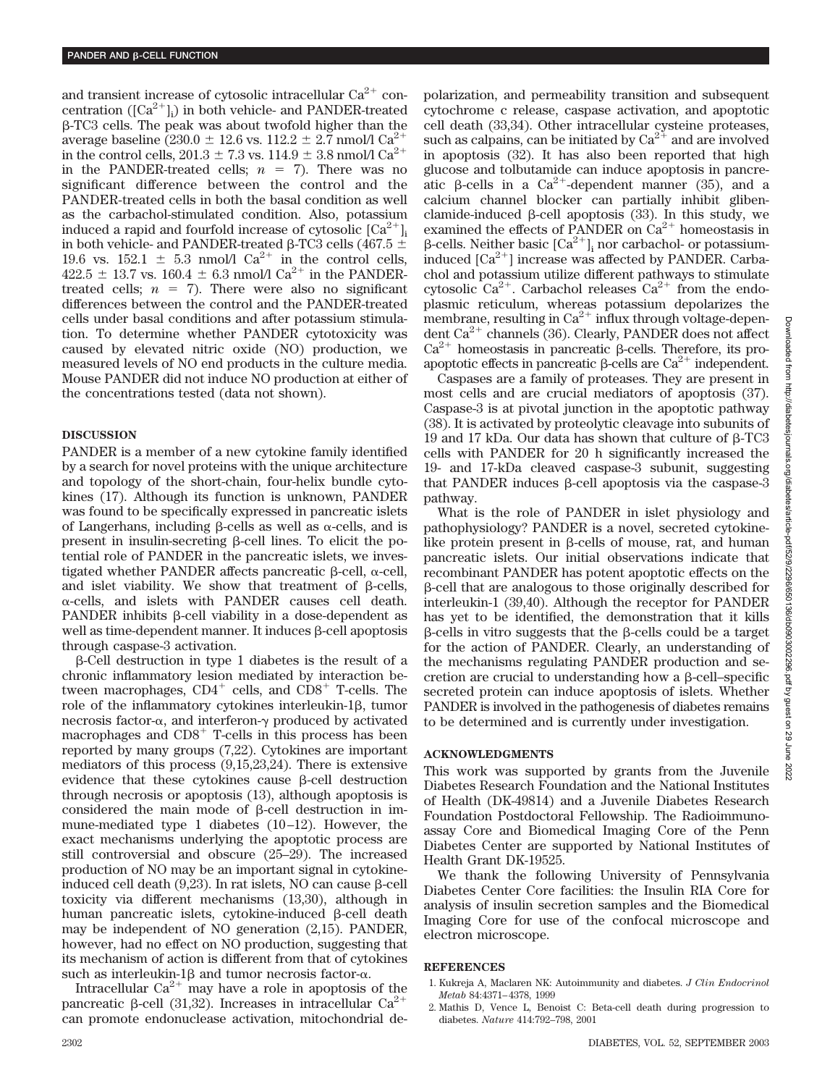and transient increase of cytosolic intracellular  $Ca^{2+}$  concentration  $([Ca^{2+}]_i)$  in both vehicle- and PANDER-treated -TC3 cells. The peak was about twofold higher than the average baseline (230.0  $\pm$  12.6 vs. 112.2  $\pm$  2.7 nmol/l Ca<sup>2+</sup> in the control cells,  $201.3 \pm 7.3$  vs.  $114.9 \pm 3.8$  nmol/l  $\text{Ca}^{2+}$ in the PANDER-treated cells;  $n = 7$ ). There was no significant difference between the control and the PANDER-treated cells in both the basal condition as well as the carbachol-stimulated condition. Also, potassium induced a rapid and fourfold increase of cytosolic  ${\rm [Ca^{2+}]}_{\rm i}$ in both vehicle- and PANDER-treated  $\beta$ -TC3 cells (467.5  $\pm$ 19.6 vs. 152.1  $\pm$  5.3 nmol/l Ca<sup>2+</sup> in the control cells,  $422.5 \pm 13.7$  vs. 160.4  $\pm$  6.3 nmol/l Ca<sup>2+</sup> in the PANDERtreated cells;  $n = 7$ ). There were also no significant differences between the control and the PANDER-treated cells under basal conditions and after potassium stimulation. To determine whether PANDER cytotoxicity was caused by elevated nitric oxide (NO) production, we measured levels of NO end products in the culture media. Mouse PANDER did not induce NO production at either of the concentrations tested (data not shown).

## **DISCUSSION**

PANDER is a member of a new cytokine family identified by a search for novel proteins with the unique architecture and topology of the short-chain, four-helix bundle cytokines (17). Although its function is unknown, PANDER was found to be specifically expressed in pancreatic islets of Langerhans, including  $\beta$ -cells as well as  $\alpha$ -cells, and is present in insulin-secreting  $\beta$ -cell lines. To elicit the potential role of PANDER in the pancreatic islets, we investigated whether PANDER affects pancreatic  $\beta$ -cell,  $\alpha$ -cell, and islet viability. We show that treatment of  $\beta$ -cells,  $\alpha$ -cells, and islets with PANDER causes cell death. PANDER inhibits  $\beta$ -cell viability in a dose-dependent as well as time-dependent manner. It induces  $\beta$ -cell apoptosis through caspase-3 activation.

 $\beta$ -Cell destruction in type 1 diabetes is the result of a chronic inflammatory lesion mediated by interaction between macrophages,  $CD4^+$  cells, and  $CD8^+$  T-cells. The role of the inflammatory cytokines interleukin-1 $\beta$ , tumor necrosis factor- $\alpha$ , and interferon- $\gamma$  produced by activated macrophages and  $CDS<sup>+</sup>$  T-cells in this process has been reported by many groups (7,22). Cytokines are important mediators of this process (9,15,23,24). There is extensive evidence that these cytokines cause  $\beta$ -cell destruction through necrosis or apoptosis (13), although apoptosis is considered the main mode of  $\beta$ -cell destruction in immune-mediated type 1 diabetes (10–12). However, the exact mechanisms underlying the apoptotic process are still controversial and obscure (25–29). The increased production of NO may be an important signal in cytokineinduced cell death  $(9,23)$ . In rat islets, NO can cause  $\beta$ -cell toxicity via different mechanisms (13,30), although in human pancreatic islets, cytokine-induced  $\beta$ -cell death may be independent of NO generation (2,15). PANDER, however, had no effect on NO production, suggesting that its mechanism of action is different from that of cytokines such as interleukin-1 $\beta$  and tumor necrosis factor- $\alpha$ .

Intracellular  $Ca^{2+}$  may have a role in apoptosis of the pancreatic  $\beta$ -cell (31,32). Increases in intracellular Ca<sup>2+</sup> can promote endonuclease activation, mitochondrial depolarization, and permeability transition and subsequent cytochrome c release, caspase activation, and apoptotic cell death (33,34). Other intracellular cysteine proteases, such as calpains, can be initiated by  $Ca^{2+}$  and are involved in apoptosis (32). It has also been reported that high glucose and tolbutamide can induce apoptosis in pancreatic  $\beta$ -cells in a Ca<sup>2+</sup>-dependent manner (35), and a calcium channel blocker can partially inhibit glibenclamide-induced  $\beta$ -cell apoptosis (33). In this study, we examined the effects of PANDER on  $\text{Ca}^{2+}$  homeostasis in β-cells. Neither basic  $\lbrack Ca^{2+} \rbrack_i$  nor carbachol- or potassiuminduced  $[Ca^{2+}]$  increase was affected by PANDER. Carbachol and potassium utilize different pathways to stimulate cytosolic  $Ca^{2+}$ . Carbachol releases  $Ca^{2+}$  from the endoplasmic reticulum, whereas potassium depolarizes the membrane, resulting in  $Ca^{2+}$  influx through voltage-dependent Ca<sup>2+</sup> channels (36). Clearly, PANDER does not affect  $Ca^{2+}$  homeostasis in pancreatic  $\beta$ -cells. Therefore, its proapoptotic effects in pancreatic  $\beta$ -cells are Ca<sup>2+</sup> independent.

Caspases are a family of proteases. They are present in most cells and are crucial mediators of apoptosis (37). Caspase-3 is at pivotal junction in the apoptotic pathway (38). It is activated by proteolytic cleavage into subunits of 19 and 17 kDa. Our data has shown that culture of  $\beta$ -TC3 cells with PANDER for 20 h significantly increased the 19- and 17-kDa cleaved caspase-3 subunit, suggesting that PANDER induces  $\beta$ -cell apoptosis via the caspase-3 pathway.

What is the role of PANDER in islet physiology and pathophysiology? PANDER is a novel, secreted cytokinelike protein present in  $\beta$ -cells of mouse, rat, and human pancreatic islets. Our initial observations indicate that recombinant PANDER has potent apoptotic effects on the -cell that are analogous to those originally described for interleukin-1 (39,40). Although the receptor for PANDER has yet to be identified, the demonstration that it kills  $\beta$ -cells in vitro suggests that the  $\beta$ -cells could be a target for the action of PANDER. Clearly, an understanding of the mechanisms regulating PANDER production and secretion are crucial to understanding how a  $\beta$ -cell–specific secreted protein can induce apoptosis of islets. Whether PANDER is involved in the pathogenesis of diabetes remains to be determined and is currently under investigation.

## **ACKNOWLEDGMENTS**

This work was supported by grants from the Juvenile Diabetes Research Foundation and the National Institutes of Health (DK-49814) and a Juvenile Diabetes Research Foundation Postdoctoral Fellowship. The Radioimmunoassay Core and Biomedical Imaging Core of the Penn Diabetes Center are supported by National Institutes of Health Grant DK-19525.

We thank the following University of Pennsylvania Diabetes Center Core facilities: the Insulin RIA Core for analysis of insulin secretion samples and the Biomedical Imaging Core for use of the confocal microscope and electron microscope.

#### **REFERENCES**

- 1. Kukreja A, Maclaren NK: Autoimmunity and diabetes. *J Clin Endocrinol Metab* 84:4371–4378, 1999
- 2. Mathis D, Vence L, Benoist C: Beta-cell death during progression to diabetes. *Nature* 414:792–798, 2001